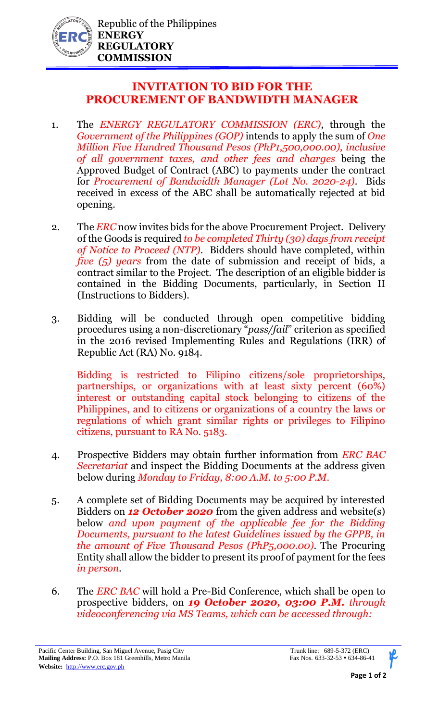

## **INVITATION TO BID FOR THE PROCUREMENT OF BANDWIDTH MANAGER**

- 1. The *ENERGY REGULATORY COMMISSION (ERC)*, through the *Government of the Philippines (GOP)* intends to apply the sum of *One Million Five Hundred Thousand Pesos (PhP1,500,000.00), inclusive of all government taxes, and other fees and charges* being the Approved Budget of Contract (ABC) to payments under the contract for *Procurement of Bandwidth Manager (Lot No. 2020-24)*. Bids received in excess of the ABC shall be automatically rejected at bid opening.
- 2. The *ERC* now invites bids for the above Procurement Project. Delivery of the Goods is required *to be completed Thirty (30) days from receipt of Notice to Proceed (NTP)*. Bidders should have completed, within *five (5) years* from the date of submission and receipt of bids, a contract similar to the Project. The description of an eligible bidder is contained in the Bidding Documents, particularly, in Section II (Instructions to Bidders).
- 3. Bidding will be conducted through open competitive bidding procedures using a non-discretionary "*pass/fail*" criterion as specified in the 2016 revised Implementing Rules and Regulations (IRR) of Republic Act (RA) No. 9184.

Bidding is restricted to Filipino citizens/sole proprietorships, partnerships, or organizations with at least sixty percent (60%) interest or outstanding capital stock belonging to citizens of the Philippines, and to citizens or organizations of a country the laws or regulations of which grant similar rights or privileges to Filipino citizens, pursuant to RA No. 5183.

- 4. Prospective Bidders may obtain further information from *ERC BAC Secretariat* and inspect the Bidding Documents at the address given below during *Monday to Friday, 8:00 A.M. to 5:00 P.M*.
- 5. A complete set of Bidding Documents may be acquired by interested Bidders on *12 October 2020* from the given address and website(s) below *and upon payment of the applicable fee for the Bidding Documents, pursuant to the latest Guidelines issued by the GPPB, in the amount of Five Thousand Pesos (PhP5,000.00)*. The Procuring Entity shall allow the bidder to present its proof of payment for the fees *in person.*
- 6. The *ERC BAC* will hold a Pre-Bid Conference, which shall be open to prospective bidders, on *19 October 2020, 03:00 P.M. through videoconferencing via MS Teams, which can be accessed through:*